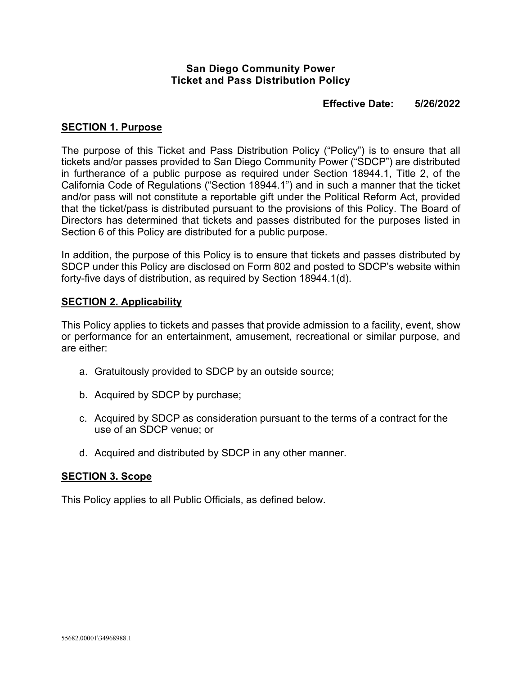### **San Diego Community Power Ticket and Pass Distribution Policy**

# **Effective Date: 5/26/2022**

#### **SECTION 1. Purpose**

The purpose of this Ticket and Pass Distribution Policy ("Policy") is to ensure that all tickets and/or passes provided to San Diego Community Power ("SDCP") are distributed in furtherance of a public purpose as required under Section 18944.1, Title 2, of the California Code of Regulations ("Section 18944.1") and in such a manner that the ticket and/or pass will not constitute a reportable gift under the Political Reform Act, provided that the ticket/pass is distributed pursuant to the provisions of this Policy. The Board of Directors has determined that tickets and passes distributed for the purposes listed in Section 6 of this Policy are distributed for a public purpose.

In addition, the purpose of this Policy is to ensure that tickets and passes distributed by SDCP under this Policy are disclosed on Form 802 and posted to SDCP's website within forty-five days of distribution, as required by Section 18944.1(d).

#### **SECTION 2. Applicability**

This Policy applies to tickets and passes that provide admission to a facility, event, show or performance for an entertainment, amusement, recreational or similar purpose, and are either:

- a. Gratuitously provided to SDCP by an outside source;
- b. Acquired by SDCP by purchase;
- c. Acquired by SDCP as consideration pursuant to the terms of a contract for the use of an SDCP venue; or
- d. Acquired and distributed by SDCP in any other manner.

#### **SECTION 3. Scope**

This Policy applies to all Public Officials, as defined below.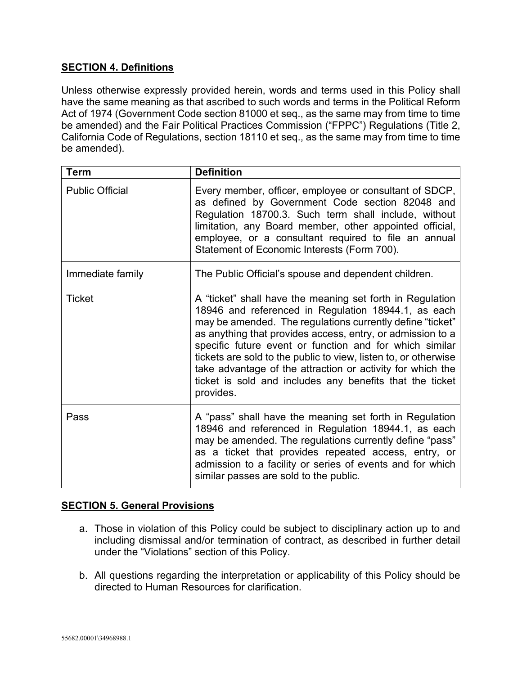# **SECTION 4. Definitions**

Unless otherwise expressly provided herein, words and terms used in this Policy shall have the same meaning as that ascribed to such words and terms in the Political Reform Act of 1974 (Government Code section 81000 et seq., as the same may from time to time be amended) and the Fair Political Practices Commission ("FPPC") Regulations (Title 2, California Code of Regulations, section 18110 et seq., as the same may from time to time be amended).

| <b>Term</b>            | <b>Definition</b>                                                                                                                                                                                                                                                                                                                                                                                                                                                                                                |
|------------------------|------------------------------------------------------------------------------------------------------------------------------------------------------------------------------------------------------------------------------------------------------------------------------------------------------------------------------------------------------------------------------------------------------------------------------------------------------------------------------------------------------------------|
| <b>Public Official</b> | Every member, officer, employee or consultant of SDCP,<br>as defined by Government Code section 82048 and<br>Regulation 18700.3. Such term shall include, without<br>limitation, any Board member, other appointed official,<br>employee, or a consultant required to file an annual<br>Statement of Economic Interests (Form 700).                                                                                                                                                                              |
| Immediate family       | The Public Official's spouse and dependent children.                                                                                                                                                                                                                                                                                                                                                                                                                                                             |
| <b>Ticket</b>          | A "ticket" shall have the meaning set forth in Regulation<br>18946 and referenced in Regulation 18944.1, as each<br>may be amended. The regulations currently define "ticket"<br>as anything that provides access, entry, or admission to a<br>specific future event or function and for which similar<br>tickets are sold to the public to view, listen to, or otherwise<br>take advantage of the attraction or activity for which the<br>ticket is sold and includes any benefits that the ticket<br>provides. |
| Pass                   | A "pass" shall have the meaning set forth in Regulation<br>18946 and referenced in Regulation 18944.1, as each<br>may be amended. The regulations currently define "pass"<br>as a ticket that provides repeated access, entry, or<br>admission to a facility or series of events and for which<br>similar passes are sold to the public.                                                                                                                                                                         |

## **SECTION 5. General Provisions**

- a. Those in violation of this Policy could be subject to disciplinary action up to and including dismissal and/or termination of contract, as described in further detail under the "Violations" section of this Policy.
- b. All questions regarding the interpretation or applicability of this Policy should be directed to Human Resources for clarification.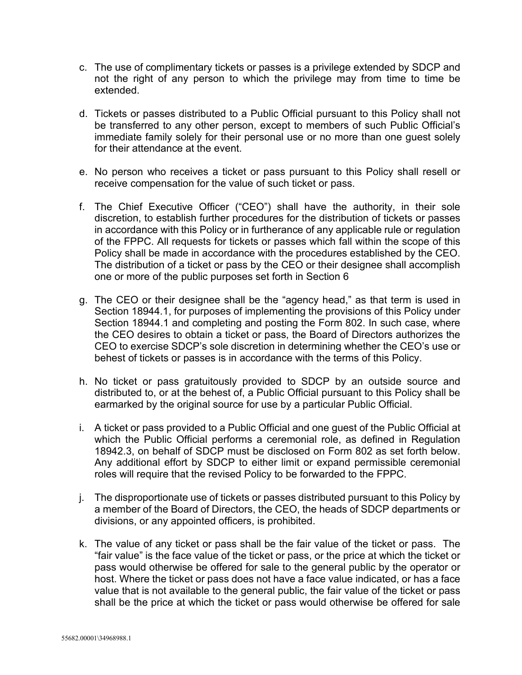- c. The use of complimentary tickets or passes is a privilege extended by SDCP and not the right of any person to which the privilege may from time to time be extended.
- d. Tickets or passes distributed to a Public Official pursuant to this Policy shall not be transferred to any other person, except to members of such Public Official's immediate family solely for their personal use or no more than one guest solely for their attendance at the event.
- e. No person who receives a ticket or pass pursuant to this Policy shall resell or receive compensation for the value of such ticket or pass.
- f. The Chief Executive Officer ("CEO") shall have the authority, in their sole discretion, to establish further procedures for the distribution of tickets or passes in accordance with this Policy or in furtherance of any applicable rule or regulation of the FPPC. All requests for tickets or passes which fall within the scope of this Policy shall be made in accordance with the procedures established by the CEO. The distribution of a ticket or pass by the CEO or their designee shall accomplish one or more of the public purposes set forth in Section 6
- g. The CEO or their designee shall be the "agency head," as that term is used in Section 18944.1, for purposes of implementing the provisions of this Policy under Section 18944.1 and completing and posting the Form 802. In such case, where the CEO desires to obtain a ticket or pass, the Board of Directors authorizes the CEO to exercise SDCP's sole discretion in determining whether the CEO's use or behest of tickets or passes is in accordance with the terms of this Policy.
- h. No ticket or pass gratuitously provided to SDCP by an outside source and distributed to, or at the behest of, a Public Official pursuant to this Policy shall be earmarked by the original source for use by a particular Public Official.
- i. A ticket or pass provided to a Public Official and one guest of the Public Official at which the Public Official performs a ceremonial role, as defined in Regulation 18942.3, on behalf of SDCP must be disclosed on Form 802 as set forth below. Any additional effort by SDCP to either limit or expand permissible ceremonial roles will require that the revised Policy to be forwarded to the FPPC.
- j. The disproportionate use of tickets or passes distributed pursuant to this Policy by a member of the Board of Directors, the CEO, the heads of SDCP departments or divisions, or any appointed officers, is prohibited.
- k. The value of any ticket or pass shall be the fair value of the ticket or pass. The "fair value" is the face value of the ticket or pass, or the price at which the ticket or pass would otherwise be offered for sale to the general public by the operator or host. Where the ticket or pass does not have a face value indicated, or has a face value that is not available to the general public, the fair value of the ticket or pass shall be the price at which the ticket or pass would otherwise be offered for sale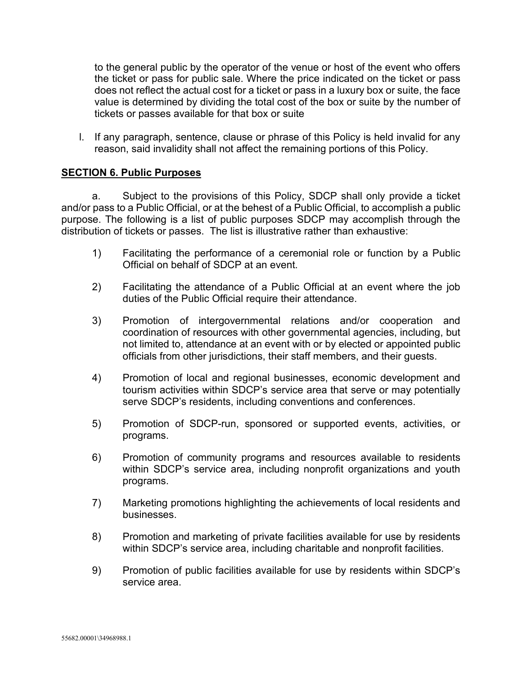to the general public by the operator of the venue or host of the event who offers the ticket or pass for public sale. Where the price indicated on the ticket or pass does not reflect the actual cost for a ticket or pass in a luxury box or suite, the face value is determined by dividing the total cost of the box or suite by the number of tickets or passes available for that box or suite

l. If any paragraph, sentence, clause or phrase of this Policy is held invalid for any reason, said invalidity shall not affect the remaining portions of this Policy.

### **SECTION 6. Public Purposes**

a. Subject to the provisions of this Policy, SDCP shall only provide a ticket and/or pass to a Public Official, or at the behest of a Public Official, to accomplish a public purpose. The following is a list of public purposes SDCP may accomplish through the distribution of tickets or passes. The list is illustrative rather than exhaustive:

- 1) Facilitating the performance of a ceremonial role or function by a Public Official on behalf of SDCP at an event.
- 2) Facilitating the attendance of a Public Official at an event where the job duties of the Public Official require their attendance.
- 3) Promotion of intergovernmental relations and/or cooperation and coordination of resources with other governmental agencies, including, but not limited to, attendance at an event with or by elected or appointed public officials from other jurisdictions, their staff members, and their guests.
- 4) Promotion of local and regional businesses, economic development and tourism activities within SDCP's service area that serve or may potentially serve SDCP's residents, including conventions and conferences.
- 5) Promotion of SDCP-run, sponsored or supported events, activities, or programs.
- 6) Promotion of community programs and resources available to residents within SDCP's service area, including nonprofit organizations and youth programs.
- 7) Marketing promotions highlighting the achievements of local residents and businesses.
- 8) Promotion and marketing of private facilities available for use by residents within SDCP's service area, including charitable and nonprofit facilities.
- 9) Promotion of public facilities available for use by residents within SDCP's service area.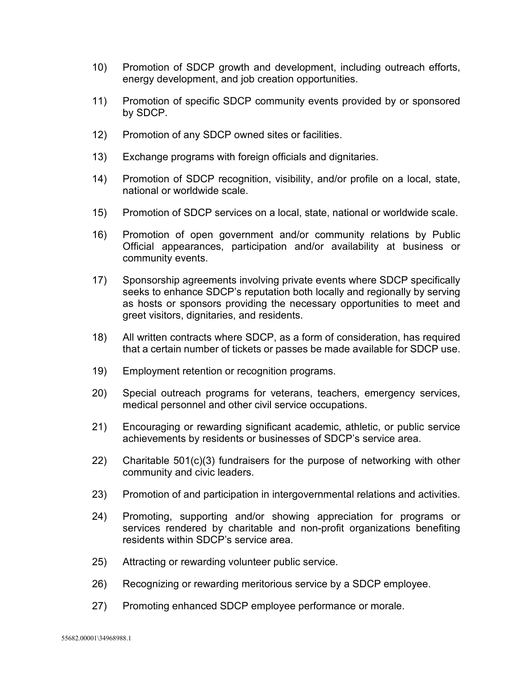- 10) Promotion of SDCP growth and development, including outreach efforts, energy development, and job creation opportunities.
- 11) Promotion of specific SDCP community events provided by or sponsored by SDCP.
- 12) Promotion of any SDCP owned sites or facilities.
- 13) Exchange programs with foreign officials and dignitaries.
- 14) Promotion of SDCP recognition, visibility, and/or profile on a local, state, national or worldwide scale.
- 15) Promotion of SDCP services on a local, state, national or worldwide scale.
- 16) Promotion of open government and/or community relations by Public Official appearances, participation and/or availability at business or community events.
- 17) Sponsorship agreements involving private events where SDCP specifically seeks to enhance SDCP's reputation both locally and regionally by serving as hosts or sponsors providing the necessary opportunities to meet and greet visitors, dignitaries, and residents.
- 18) All written contracts where SDCP, as a form of consideration, has required that a certain number of tickets or passes be made available for SDCP use.
- 19) Employment retention or recognition programs.
- 20) Special outreach programs for veterans, teachers, emergency services, medical personnel and other civil service occupations.
- 21) Encouraging or rewarding significant academic, athletic, or public service achievements by residents or businesses of SDCP's service area.
- 22) Charitable 501(c)(3) fundraisers for the purpose of networking with other community and civic leaders.
- 23) Promotion of and participation in intergovernmental relations and activities.
- 24) Promoting, supporting and/or showing appreciation for programs or services rendered by charitable and non-profit organizations benefiting residents within SDCP's service area.
- 25) Attracting or rewarding volunteer public service.
- 26) Recognizing or rewarding meritorious service by a SDCP employee.
- 27) Promoting enhanced SDCP employee performance or morale.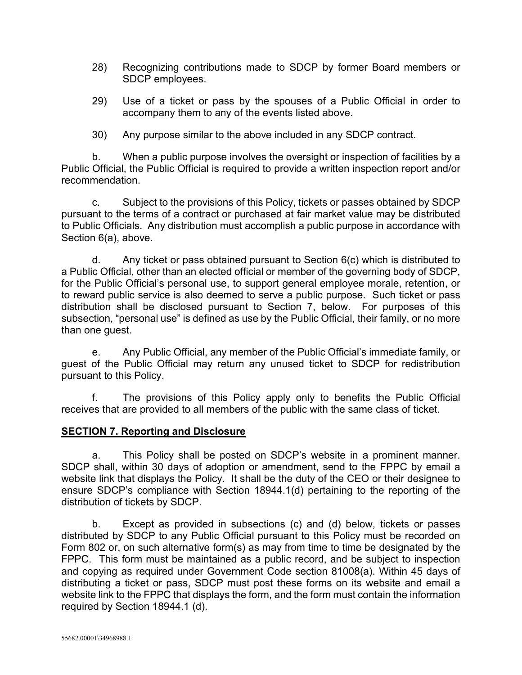- 28) Recognizing contributions made to SDCP by former Board members or SDCP employees.
- 29) Use of a ticket or pass by the spouses of a Public Official in order to accompany them to any of the events listed above.
- 30) Any purpose similar to the above included in any SDCP contract.

b. When a public purpose involves the oversight or inspection of facilities by a Public Official, the Public Official is required to provide a written inspection report and/or recommendation.

c. Subject to the provisions of this Policy, tickets or passes obtained by SDCP pursuant to the terms of a contract or purchased at fair market value may be distributed to Public Officials. Any distribution must accomplish a public purpose in accordance with Section 6(a), above.

d. Any ticket or pass obtained pursuant to Section 6(c) which is distributed to a Public Official, other than an elected official or member of the governing body of SDCP, for the Public Official's personal use, to support general employee morale, retention, or to reward public service is also deemed to serve a public purpose. Such ticket or pass distribution shall be disclosed pursuant to Section 7, below. For purposes of this subsection, "personal use" is defined as use by the Public Official, their family, or no more than one guest.

e. Any Public Official, any member of the Public Official's immediate family, or guest of the Public Official may return any unused ticket to SDCP for redistribution pursuant to this Policy.

f. The provisions of this Policy apply only to benefits the Public Official receives that are provided to all members of the public with the same class of ticket.

## **SECTION 7. Reporting and Disclosure**

a. This Policy shall be posted on SDCP's website in a prominent manner. SDCP shall, within 30 days of adoption or amendment, send to the FPPC by email a website link that displays the Policy. It shall be the duty of the CEO or their designee to ensure SDCP's compliance with Section 18944.1(d) pertaining to the reporting of the distribution of tickets by SDCP.

b. Except as provided in subsections (c) and (d) below, tickets or passes distributed by SDCP to any Public Official pursuant to this Policy must be recorded on Form 802 or, on such alternative form(s) as may from time to time be designated by the FPPC. This form must be maintained as a public record, and be subject to inspection and copying as required under Government Code section 81008(a). Within 45 days of distributing a ticket or pass, SDCP must post these forms on its website and email a website link to the FPPC that displays the form, and the form must contain the information required by Section 18944.1 (d).